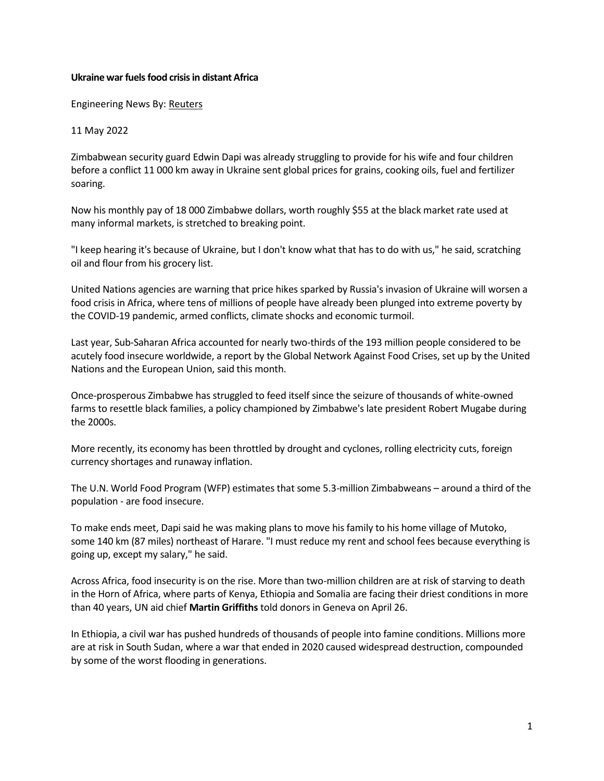## **Ukraine war fuels food crisis in distant Africa**

Engineering News By: [Reuters](https://www.engineeringnews.co.za/author.php?u_id=99)

11 May 2022

Zimbabwean [security](https://www.engineeringnews.co.za/topic/security) guard Edwin Dapi was already struggling to provide for his wife and four children before a conflict 11 000 km away in Ukraine sent global prices for grains, cooking oils, fuel and fertilizer soaring.

Now his monthly pay of 18 000 Zimbabwe dollars, worth roughly \$55 at the black market rate used at many informal markets, is stretched to breaking point.

"I keep hearing it's because of Ukraine, but I don't know what that has to do with us," he said, scratching oil and flour from his grocery list.

United Nations agencies are warning that price hikes sparked by Russia's invasion of Ukraine will worsen a food crisis in [Africa,](https://www.engineeringnews.co.za/topic/africa) where tens of millions of people have already been plunged into extreme poverty by the COVID-19 pandemic, armed conflicts, climate shocks and economic turmoil.

Last year, Sub-Saharan [Africa](https://www.engineeringnews.co.za/topic/africa) accounted for nearly two-thirds of the 193 million people considered to be acutely food insecure worldwide, a report by the Global Network Against Food Crises, set up by the United Nations and the European Union, said this month.

Once-prosperous Zimbabwe has struggled to feed itself since the seizure of thousands of white-owned farms to resettle black families, a policy championed by Zimbabwe's late president Robert Mugabe during the 2000s.

More recently, its economy has been throttled by drought and [cyclones,](https://www.engineeringnews.co.za/topic/cyclones) rolling electricity cuts, foreign currency shortages and runaway inflation.

The U.N. World Food Program (WFP) estimates that some 5.3-million Zimbabweans – around a third of the population - are food insecure.

To make ends meet, Dapi said he was making plans to move his family to his home village of Mutoko, some 140 km (87 miles) northeast of Harare. "I must reduce my rent and school fees because everything is going up, except my salary," he said.

Across [Africa,](https://www.engineeringnews.co.za/topic/africa) food insecurity is on the rise. More than two-million children are at risk of starving to death in the Horn of [Africa,](https://www.engineeringnews.co.za/topic/africa) where parts of Kenya, Ethiopia and Somalia are facing their driest conditions in more than 40 years, UN aid chief **Martin Griffiths** told donors in Geneva on April 26.

In Ethiopia, a civil war has pushed hundreds of thousands of people into famine conditions. Millions more are at risk in South Sudan, where a war that ended in 2020 caused widespread destruction, compounded by some of the worst flooding in generations.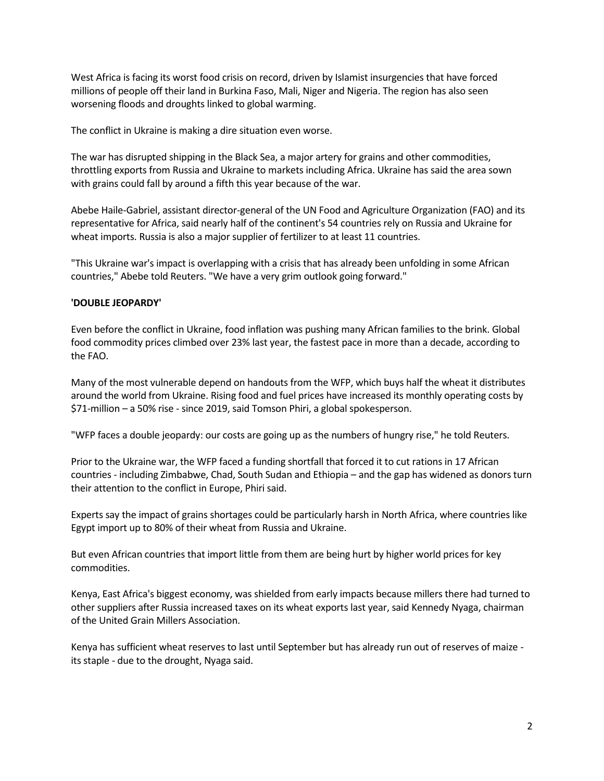West [Africa](https://www.engineeringnews.co.za/topic/africa) is facing its worst food crisis on record, driven by Islamist insurgencies that have forced millions of people off their land in Burkina Faso, Mali, Niger and Nigeria. The region has also seen worsening floods and droughts linked to global warming.

The conflict in Ukraine is making a dire situation even worse.

The war has disrupted shipping in the Black Sea, a major artery for grains and other commodities, throttling exports from Russia and Ukraine to markets including [Africa.](https://www.engineeringnews.co.za/topic/africa) Ukraine has said the area sown with grains could fall by around a fifth this year because of the war.

Abebe Haile-Gabriel, assistant director-general of the UN Food and Agriculture Organization (FAO) and its representative for [Africa,](https://www.engineeringnews.co.za/topic/africa) said nearly half of the continent's 54 countries rely on Russia and Ukraine for wheat imports. Russia is also a major supplier of fertilizer to at least 11 countries.

"This Ukraine war's impact is overlapping with a crisis that has already been unfolding in some African countries," Abebe told Reuters. "We have a very grim outlook going forward."

## **'DOUBLE JEOPARDY'**

Even before the conflict in Ukraine, food inflation was pushing many African families to the brink. Global food commodity prices climbed over 23% last year, the fastest pace in more than a decade, according to the FAO.

Many of the most vulnerable depend on handouts from the WFP, which buys half the wheat it distributes around the world from Ukraine. Rising food and fuel prices have increased its monthly operating costs by \$71-million – a 50% rise - since 2019, said Tomson Phiri, a global spokesperson.

"WFP faces a double jeopardy: our costs are going up as the numbers of hungry rise," he told Reuters.

Prior to the Ukraine war, the WFP faced a funding shortfall that forced it to cut rations in 17 African countries - including Zimbabwe, Chad, South Sudan and Ethiopia – and the gap has widened as donors turn their attention to the conflict in Europe, Phiri said.

Experts say the impact of grains shortages could be particularly harsh in North [Africa,](https://www.engineeringnews.co.za/topic/africa) where countries like Egypt import up to 80% of their wheat from Russia and Ukraine.

But even African countries that import little from them are being hurt by higher world prices for key commodities.

Kenya, East [Africa'](https://www.engineeringnews.co.za/topic/africa)s biggest economy, was shielded from early impacts because millers there had turned to other suppliers after Russia increased taxes on its wheat exports last year, said Kennedy Nyaga, chairman of the United Grain Millers Association.

Kenya has sufficient wheat reserves to last until September but has already run out of reserves of maize its staple - due to the drought, Nyaga said.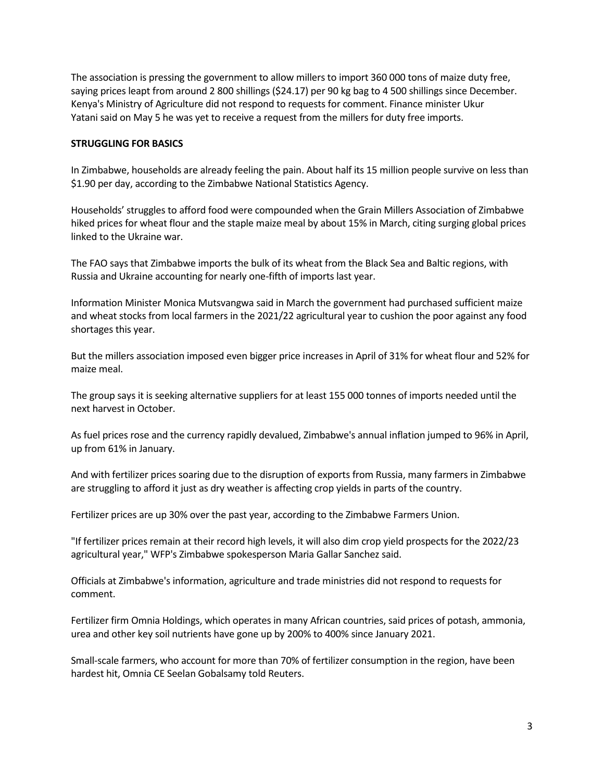The association is pressing the government to allow millers to import 360 000 tons of maize duty free, saying prices leapt from around 2 800 shillings (\$24.17) per 90 kg bag to 4 500 shillings since December. Kenya's Ministry of Agriculture did not respond to requests for comment. Finance minister Ukur Yatani said on May 5 he was yet to receive a request from the millers for duty free imports.

## **STRUGGLING FOR BASICS**

In Zimbabwe, households are already feeling the pain. About half its 15 million people survive on less than \$1.90 per day, according to the Zimbabwe National Statistics Agency.

Households' struggles to afford food were compounded when the Grain Millers Association of Zimbabwe hiked prices for wheat flour and the staple maize meal by about 15% in March, citing surging global prices linked to the Ukraine war.

The FAO says that Zimbabwe imports the bulk of its wheat from the Black Sea and Baltic regions, with Russia and Ukraine accounting for nearly one-fifth of imports last year.

Information Minister Monica Mutsvangwa said in March the government had purchased sufficient maize and wheat stocks from local farmers in the 2021/22 agricultural year to cushion the poor against any food shortages this year.

But the millers association imposed even bigger price increases in April of 31% for wheat flour and 52% for maize meal.

The group says it is seeking alternative suppliers for at least 155 000 tonnes of imports needed until the next harvest in October.

As fuel prices rose and the currency rapidly devalued, Zimbabwe's annual inflation jumped to 96% in April, up from 61% in January.

And with fertilizer prices soaring due to the disruption of exports from Russia, many farmers in Zimbabwe are struggling to afford it just as dry weather is affecting crop yields in parts of the country.

Fertilizer prices are up 30% over the past year, according to the Zimbabwe Farmers Union.

"If fertilizer prices remain at their record high levels, it will also dim crop yield prospects for the 2022/23 agricultural year," WFP's Zimbabwe spokesperson Maria Gallar Sanchez said.

Officials at Zimbabwe's information, agriculture and trade ministries did not respond to requests for comment.

Fertilizer firm Omnia Holdings, which operates in many African countries, said prices of potash, ammonia, urea and other key soil nutrients have gone up by 200% to 400% since January 2021.

Small-scale farmers, who account for more than 70% of fertilizer consumption in the region, have been hardest hit, Omnia CE Seelan Gobalsamy told Reuters.